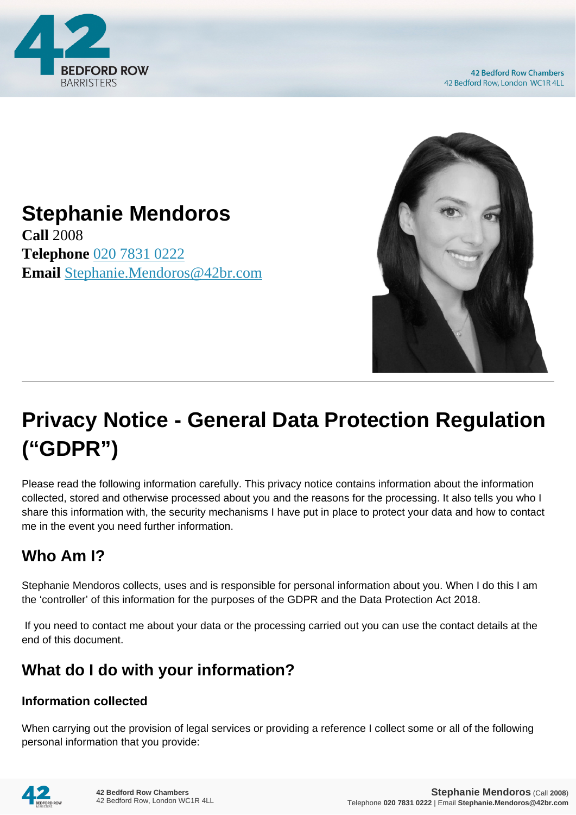

**42 Bedford Row Chambers** 42 Bedford Row, London WC1R 4LL



# **Stephanie Mendoros**

**Call** 2008 **Telephone** [020 7831 0222](https://pdf.codeshore.co/_42br/tel:020 7831 0222) **Email** [Stephanie.Mendoros@42br.com](mailto:Stephanie.Mendoros@42br.com)

# **Privacy Notice - General Data Protection Regulation ("GDPR")**

Please read the following information carefully. This privacy notice contains information about the information collected, stored and otherwise processed about you and the reasons for the processing. It also tells you who I share this information with, the security mechanisms I have put in place to protect your data and how to contact me in the event you need further information.

# **Who Am I?**

Stephanie Mendoros collects, uses and is responsible for personal information about you. When I do this I am the 'controller' of this information for the purposes of the GDPR and the Data Protection Act 2018.

 If you need to contact me about your data or the processing carried out you can use the contact details at the end of this document.

# **What do I do with your information?**

#### **Information collected**

When carrying out the provision of legal services or providing a reference I collect some or all of the following personal information that you provide:

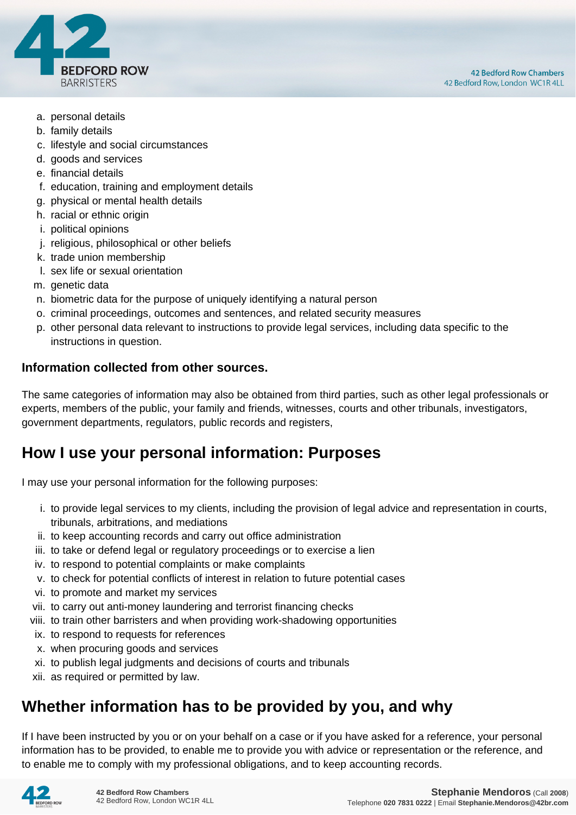

- a. personal details
- b. family details
- c. lifestyle and social circumstances
- d. goods and services
- e. financial details
- f. education, training and employment details
- g. physical or mental health details
- h. racial or ethnic origin
- i. political opinions
- j. religious, philosophical or other beliefs
- k. trade union membership
- l. sex life or sexual orientation
- m. genetic data
- n. biometric data for the purpose of uniquely identifying a natural person
- o. criminal proceedings, outcomes and sentences, and related security measures
- p. other personal data relevant to instructions to provide legal services, including data specific to the instructions in question.

#### **Information collected from other sources.**

The same categories of information may also be obtained from third parties, such as other legal professionals or experts, members of the public, your family and friends, witnesses, courts and other tribunals, investigators, government departments, regulators, public records and registers,

#### **How I use your personal information: Purposes**

I may use your personal information for the following purposes:

- i. to provide legal services to my clients, including the provision of legal advice and representation in courts, tribunals, arbitrations, and mediations
- ii. to keep accounting records and carry out office administration
- iii. to take or defend legal or regulatory proceedings or to exercise a lien
- iv. to respond to potential complaints or make complaints
- v. to check for potential conflicts of interest in relation to future potential cases
- vi. to promote and market my services
- vii. to carry out anti-money laundering and terrorist financing checks
- viii. to train other barristers and when providing work-shadowing opportunities
- ix. to respond to requests for references
- x. when procuring goods and services
- xi. to publish legal judgments and decisions of courts and tribunals
- xii. as required or permitted by law.

#### **Whether information has to be provided by you, and why**

If I have been instructed by you or on your behalf on a case or if you have asked for a reference, your personal information has to be provided, to enable me to provide you with advice or representation or the reference, and to enable me to comply with my professional obligations, and to keep accounting records.

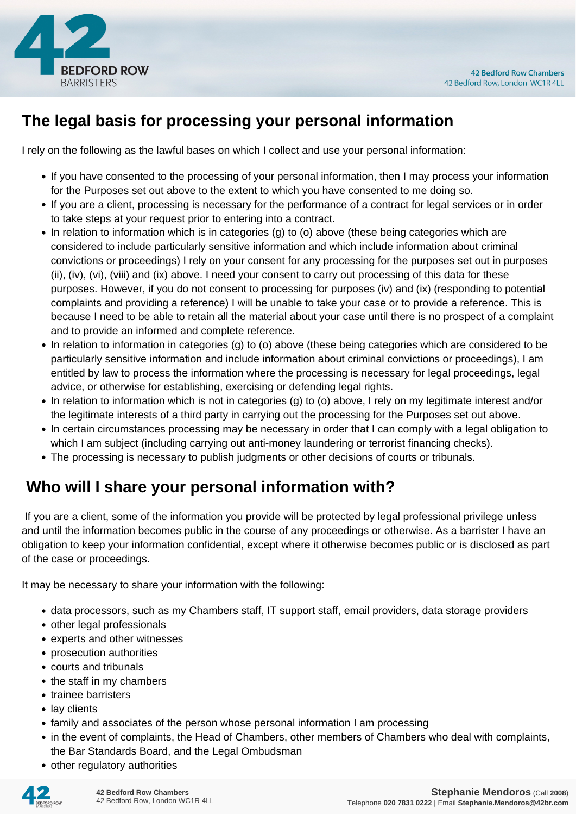

## **The legal basis for processing your personal information**

I rely on the following as the lawful bases on which I collect and use your personal information:

- If you have consented to the processing of your personal information, then I may process your information for the Purposes set out above to the extent to which you have consented to me doing so.
- If you are a client, processing is necessary for the performance of a contract for legal services or in order to take steps at your request prior to entering into a contract.
- In relation to information which is in categories (g) to (o) above (these being categories which are considered to include particularly sensitive information and which include information about criminal convictions or proceedings) I rely on your consent for any processing for the purposes set out in purposes (ii), (iv), (vi), (viii) and (ix) above. I need your consent to carry out processing of this data for these purposes. However, if you do not consent to processing for purposes (iv) and (ix) (responding to potential complaints and providing a reference) I will be unable to take your case or to provide a reference. This is because I need to be able to retain all the material about your case until there is no prospect of a complaint and to provide an informed and complete reference.
- In relation to information in categories (g) to (o) above (these being categories which are considered to be particularly sensitive information and include information about criminal convictions or proceedings), I am entitled by law to process the information where the processing is necessary for legal proceedings, legal advice, or otherwise for establishing, exercising or defending legal rights.
- In relation to information which is not in categories (g) to (o) above, I rely on my legitimate interest and/or the legitimate interests of a third party in carrying out the processing for the Purposes set out above.
- In certain circumstances processing may be necessary in order that I can comply with a legal obligation to which I am subject (including carrying out anti-money laundering or terrorist financing checks).
- The processing is necessary to publish judgments or other decisions of courts or tribunals.

# **Who will I share your personal information with?**

 If you are a client, some of the information you provide will be protected by legal professional privilege unless and until the information becomes public in the course of any proceedings or otherwise. As a barrister I have an obligation to keep your information confidential, except where it otherwise becomes public or is disclosed as part of the case or proceedings.

It may be necessary to share your information with the following:

- data processors, such as my Chambers staff, IT support staff, email providers, data storage providers
- other legal professionals
- experts and other witnesses
- prosecution authorities
- courts and tribunals
- the staff in my chambers
- trainee barristers
- lav clients
- family and associates of the person whose personal information I am processing
- in the event of complaints, the Head of Chambers, other members of Chambers who deal with complaints, the Bar Standards Board, and the Legal Ombudsman
- other regulatory authorities

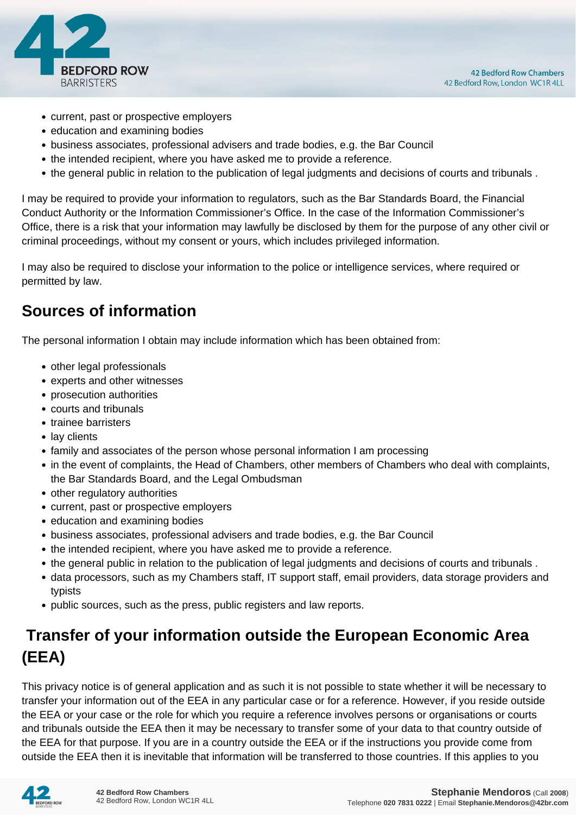

- current, past or prospective employers
- education and examining bodies
- business associates, professional advisers and trade bodies, e.g. the Bar Council
- the intended recipient, where you have asked me to provide a reference.
- the general public in relation to the publication of legal judgments and decisions of courts and tribunals .

I may be required to provide your information to regulators, such as the Bar Standards Board, the Financial Conduct Authority or the Information Commissioner's Office. In the case of the Information Commissioner's Office, there is a risk that your information may lawfully be disclosed by them for the purpose of any other civil or criminal proceedings, without my consent or yours, which includes privileged information.

I may also be required to disclose your information to the police or intelligence services, where required or permitted by law.

#### **Sources of information**

The personal information I obtain may include information which has been obtained from:

- other legal professionals
- experts and other witnesses
- prosecution authorities
- courts and tribunals
- trainee barristers
- lay clients
- family and associates of the person whose personal information I am processing
- in the event of complaints, the Head of Chambers, other members of Chambers who deal with complaints, the Bar Standards Board, and the Legal Ombudsman
- other regulatory authorities
- current, past or prospective employers
- education and examining bodies
- business associates, professional advisers and trade bodies, e.g. the Bar Council
- the intended recipient, where you have asked me to provide a reference.
- the general public in relation to the publication of legal judgments and decisions of courts and tribunals .
- data processors, such as my Chambers staff, IT support staff, email providers, data storage providers and typists
- public sources, such as the press, public registers and law reports.

## **Transfer of your information outside the European Economic Area (EEA)**

This privacy notice is of general application and as such it is not possible to state whether it will be necessary to transfer your information out of the EEA in any particular case or for a reference. However, if you reside outside the EEA or your case or the role for which you require a reference involves persons or organisations or courts and tribunals outside the EEA then it may be necessary to transfer some of your data to that country outside of the EEA for that purpose. If you are in a country outside the EEA or if the instructions you provide come from outside the EEA then it is inevitable that information will be transferred to those countries. If this applies to you

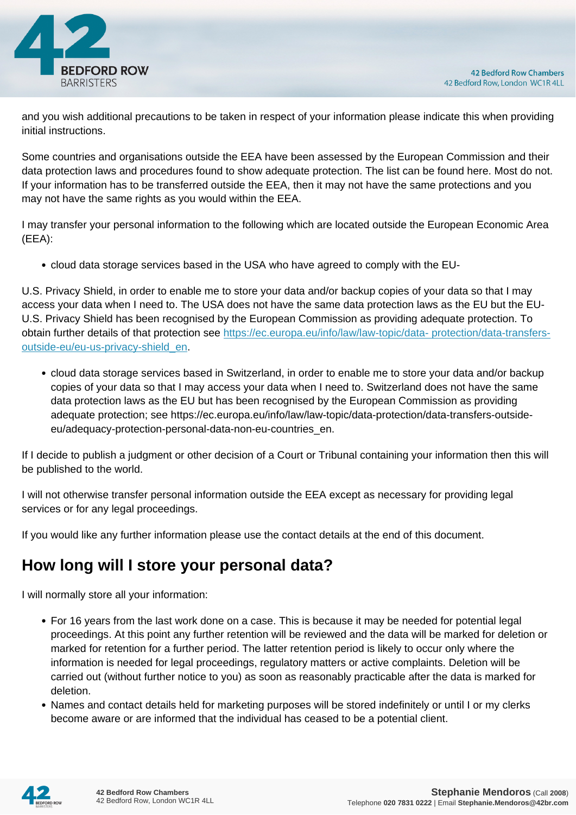

and you wish additional precautions to be taken in respect of your information please indicate this when providing initial instructions.

Some countries and organisations outside the EEA have been assessed by the European Commission and their data protection laws and procedures found to show adequate protection. The list can be found here. Most do not. If your information has to be transferred outside the EEA, then it may not have the same protections and you may not have the same rights as you would within the EEA.

I may transfer your personal information to the following which are located outside the European Economic Area (EEA):

cloud data storage services based in the USA who have agreed to comply with the EU-

U.S. Privacy Shield, in order to enable me to store your data and/or backup copies of your data so that I may access your data when I need to. The USA does not have the same data protection laws as the EU but the EU-U.S. Privacy Shield has been recognised by the European Commission as providing adequate protection. To obtain further details of that protection see [https://ec.europa.eu/info/law/law-topic/data- protection/data-transfers](https://ec.europa.eu/info/law/law-topic/data- protection/data-transfers-outside-eu/eu-us-privacy-shield_en)[outside-eu/eu-us-privacy-shield\\_en.](https://ec.europa.eu/info/law/law-topic/data- protection/data-transfers-outside-eu/eu-us-privacy-shield_en)

cloud data storage services based in Switzerland, in order to enable me to store your data and/or backup copies of your data so that I may access your data when I need to. Switzerland does not have the same data protection laws as the EU but has been recognised by the European Commission as providing adequate protection; see https://ec.europa.eu/info/law/law-topic/data-protection/data-transfers-outsideeu/adequacy-protection-personal-data-non-eu-countries\_en.

If I decide to publish a judgment or other decision of a Court or Tribunal containing your information then this will be published to the world.

I will not otherwise transfer personal information outside the EEA except as necessary for providing legal services or for any legal proceedings.

If you would like any further information please use the contact details at the end of this document.

### **How long will I store your personal data?**

I will normally store all your information:

- For 16 years from the last work done on a case. This is because it may be needed for potential legal proceedings. At this point any further retention will be reviewed and the data will be marked for deletion or marked for retention for a further period. The latter retention period is likely to occur only where the information is needed for legal proceedings, regulatory matters or active complaints. Deletion will be carried out (without further notice to you) as soon as reasonably practicable after the data is marked for deletion.
- Names and contact details held for marketing purposes will be stored indefinitely or until I or my clerks become aware or are informed that the individual has ceased to be a potential client.

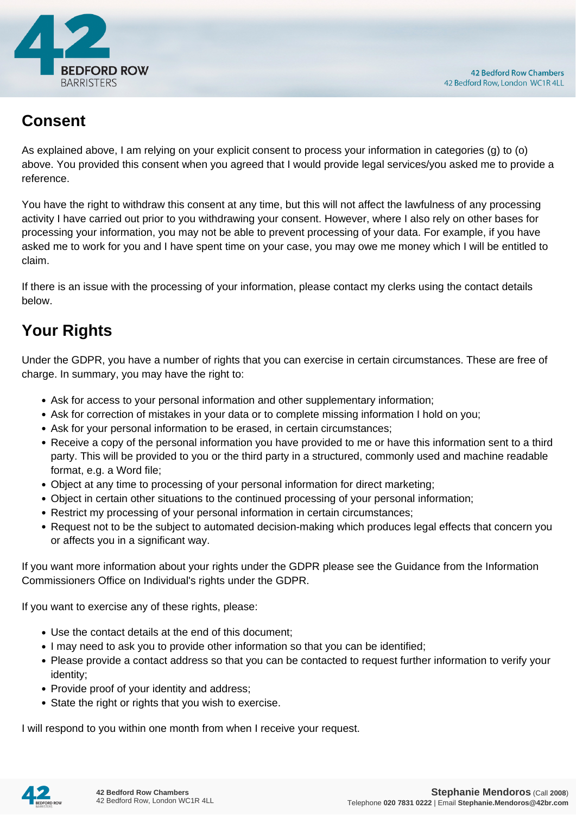

#### **Consent**

As explained above, I am relying on your explicit consent to process your information in categories (g) to (o) above. You provided this consent when you agreed that I would provide legal services/you asked me to provide a reference.

You have the right to withdraw this consent at any time, but this will not affect the lawfulness of any processing activity I have carried out prior to you withdrawing your consent. However, where I also rely on other bases for processing your information, you may not be able to prevent processing of your data. For example, if you have asked me to work for you and I have spent time on your case, you may owe me money which I will be entitled to claim.

If there is an issue with the processing of your information, please contact my clerks using the contact details below.

# **Your Rights**

Under the GDPR, you have a number of rights that you can exercise in certain circumstances. These are free of charge. In summary, you may have the right to:

- Ask for access to your personal information and other supplementary information;
- Ask for correction of mistakes in your data or to complete missing information I hold on you;
- Ask for your personal information to be erased, in certain circumstances;
- Receive a copy of the personal information you have provided to me or have this information sent to a third party. This will be provided to you or the third party in a structured, commonly used and machine readable format, e.g. a Word file;
- Object at any time to processing of your personal information for direct marketing;
- Object in certain other situations to the continued processing of your personal information;
- Restrict my processing of your personal information in certain circumstances;
- Request not to be the subject to automated decision-making which produces legal effects that concern you or affects you in a significant way.

If you want more information about your rights under the GDPR please see the Guidance from the Information Commissioners Office on Individual's rights under the GDPR.

If you want to exercise any of these rights, please:

- Use the contact details at the end of this document;
- I may need to ask you to provide other information so that you can be identified;
- Please provide a contact address so that you can be contacted to request further information to verify your identity;
- Provide proof of your identity and address;
- State the right or rights that you wish to exercise.

I will respond to you within one month from when I receive your request.